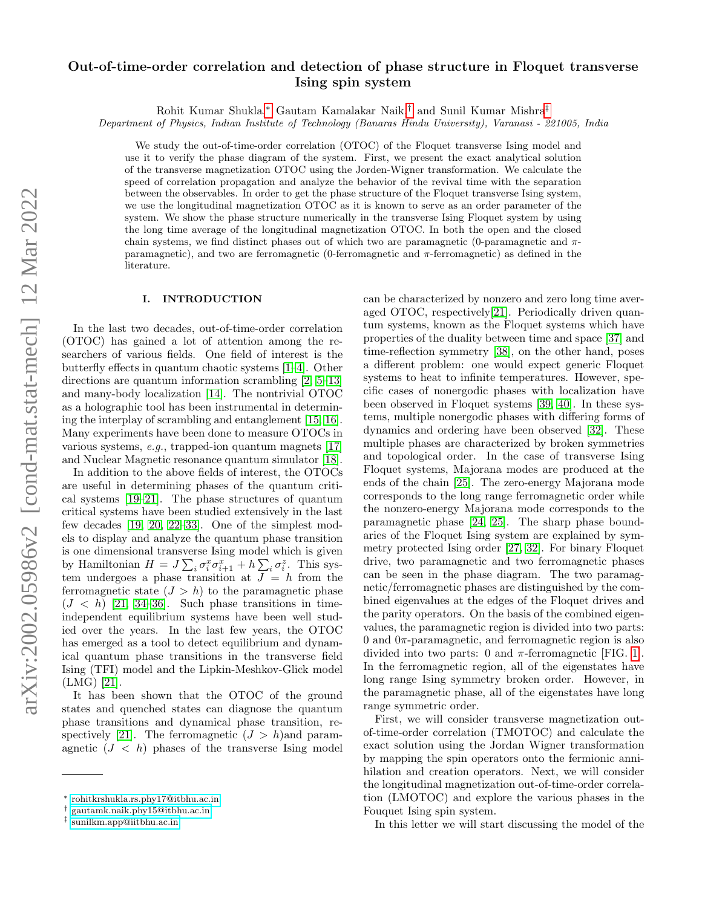# arXiv:2002.05986v2 [cond-mat.stat-mech] 12 Mar 2022 arXiv:2002.05986v2 [cond-mat.stat-mech] 12 Mar 2022

# Out-of-time-order correlation and detection of phase structure in Floquet transverse Ising spin system

Rohit Kumar Shukla,[∗](#page-0-0) Gautam Kamalakar Naik,[†](#page-0-1) and Sunil Kumar Mishra[‡](#page-0-2)

Department of Physics, Indian Institute of Technology (Banaras Hindu University), Varanasi - 221005, India

We study the out-of-time-order correlation (OTOC) of the Floquet transverse Ising model and use it to verify the phase diagram of the system. First, we present the exact analytical solution of the transverse magnetization OTOC using the Jorden-Wigner transformation. We calculate the speed of correlation propagation and analyze the behavior of the revival time with the separation between the observables. In order to get the phase structure of the Floquet transverse Ising system, we use the longitudinal magnetization OTOC as it is known to serve as an order parameter of the system. We show the phase structure numerically in the transverse Ising Floquet system by using the long time average of the longitudinal magnetization OTOC. In both the open and the closed chain systems, we find distinct phases out of which two are paramagnetic (0-paramagnetic and  $\pi$ paramagnetic), and two are ferromagnetic (0-ferromagnetic and  $\pi$ -ferromagnetic) as defined in the literature.

### I. INTRODUCTION

In the last two decades, out-of-time-order correlation (OTOC) has gained a lot of attention among the researchers of various fields. One field of interest is the butterfly effects in quantum chaotic systems [\[1–](#page-9-0)[4\]](#page-9-1). Other directions are quantum information scrambling [\[2,](#page-9-2) [5](#page-9-3)[–13\]](#page-9-4) and many-body localization [\[14\]](#page-9-5). The nontrivial OTOC as a holographic tool has been instrumental in determining the interplay of scrambling and entanglement [\[15,](#page-9-6) [16\]](#page-9-7). Many experiments have been done to measure OTOCs in various systems, e.g., trapped-ion quantum magnets [\[17\]](#page-9-8) and Nuclear Magnetic resonance quantum simulator [\[18\]](#page-9-9).

In addition to the above fields of interest, the OTOCs are useful in determining phases of the quantum critical systems [\[19](#page-9-10)[–21\]](#page-9-11). The phase structures of quantum critical systems have been studied extensively in the last few decades [\[19,](#page-9-10) [20,](#page-9-12) [22–](#page-9-13)[33\]](#page-9-14). One of the simplest models to display and analyze the quantum phase transition is one dimensional transverse Ising model which is given by Hamiltonian  $H = J \sum_i \sigma_i^x \sigma_{i+1}^x + h \sum_i \sigma_i^z$ . This system undergoes a phase transition at  $J = h$  from the ferromagnetic state  $(J > h)$  to the paramagnetic phase  $(J < h)$  [\[21,](#page-9-11) [34–](#page-9-15)[36\]](#page-9-16). Such phase transitions in timeindependent equilibrium systems have been well studied over the years. In the last few years, the OTOC has emerged as a tool to detect equilibrium and dynamical quantum phase transitions in the transverse field Ising (TFI) model and the Lipkin-Meshkov-Glick model (LMG) [\[21\]](#page-9-11).

It has been shown that the OTOC of the ground states and quenched states can diagnose the quantum phase transitions and dynamical phase transition, re-spectively [\[21\]](#page-9-11). The ferromagnetic  $(J > h)$  and paramagnetic  $(J < h)$  phases of the transverse Ising model

can be characterized by nonzero and zero long time averaged OTOC, respectively[\[21\]](#page-9-11). Periodically driven quantum systems, known as the Floquet systems which have properties of the duality between time and space [\[37\]](#page-9-17) and time-reflection symmetry [\[38\]](#page-10-0), on the other hand, poses a different problem: one would expect generic Floquet systems to heat to infinite temperatures. However, specific cases of nonergodic phases with localization have been observed in Floquet systems [\[39,](#page-10-1) [40\]](#page-10-2). In these systems, multiple nonergodic phases with differing forms of dynamics and ordering have been observed [\[32\]](#page-9-18). These multiple phases are characterized by broken symmetries and topological order. In the case of transverse Ising Floquet systems, Majorana modes are produced at the ends of the chain [\[25\]](#page-9-19). The zero-energy Majorana mode corresponds to the long range ferromagnetic order while the nonzero-energy Majorana mode corresponds to the paramagnetic phase [\[24,](#page-9-20) [25\]](#page-9-19). The sharp phase boundaries of the Floquet Ising system are explained by symmetry protected Ising order [\[27,](#page-9-21) [32\]](#page-9-18). For binary Floquet drive, two paramagnetic and two ferromagnetic phases can be seen in the phase diagram. The two paramagnetic/ferromagnetic phases are distinguished by the combined eigenvalues at the edges of the Floquet drives and the parity operators. On the basis of the combined eigenvalues, the paramagnetic region is divided into two parts: 0 and  $0\pi$ -paramagnetic, and ferromagnetic region is also divided into two parts: 0 and  $\pi$ -ferromagnetic [FIG. [1\]](#page-1-0). In the ferromagnetic region, all of the eigenstates have long range Ising symmetry broken order. However, in the paramagnetic phase, all of the eigenstates have long range symmetric order.

First, we will consider transverse magnetization outof-time-order correlation (TMOTOC) and calculate the exact solution using the Jordan Wigner transformation by mapping the spin operators onto the fermionic annihilation and creation operators. Next, we will consider the longitudinal magnetization out-of-time-order correlation (LMOTOC) and explore the various phases in the Fouquet Ising spin system.

In this letter we will start discussing the model of the

<span id="page-0-0"></span><sup>∗</sup> [rohitkrshukla.rs.phy17@itbhu.ac.in](mailto:rohitkrshukla.rs.phy17@itbhu.ac.in)

<span id="page-0-1"></span><sup>†</sup> [gautamk.naik.phy15@itbhu.ac.in](mailto:gautamk.naik.phy15@itbhu.ac.in)

<span id="page-0-2"></span><sup>‡</sup> [sunilkm.app@iitbhu.ac.in](mailto:sunilkm.app@iitbhu.ac.in)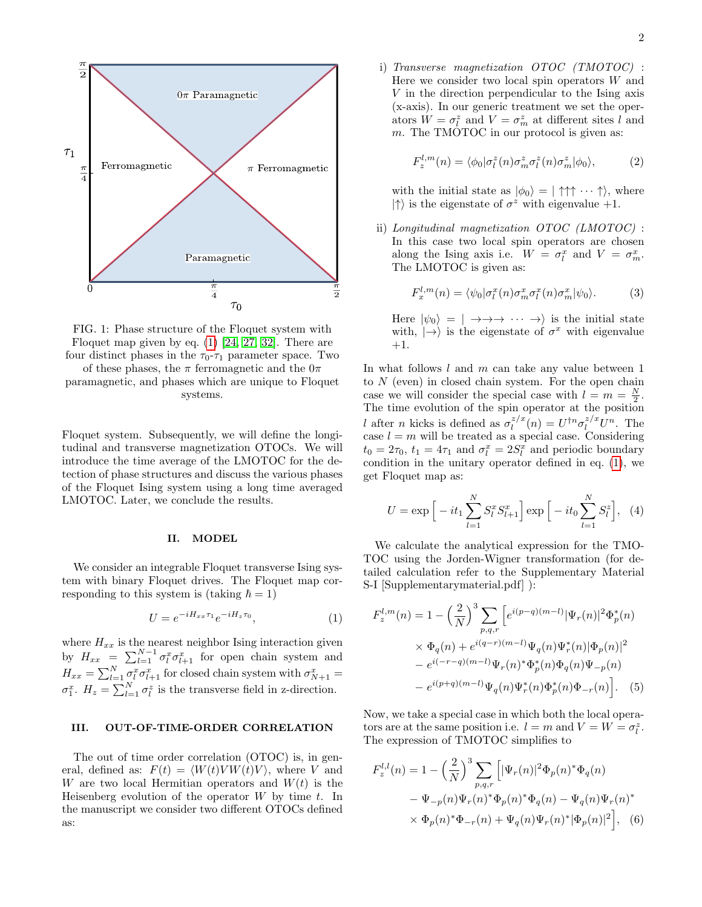<span id="page-1-0"></span>

FIG. 1: Phase structure of the Floquet system with Floquet map given by eq.  $(1)$  [\[24,](#page-9-20) [27,](#page-9-21) [32\]](#page-9-18). There are four distinct phases in the  $\tau_0$ - $\tau_1$  parameter space. Two

of these phases, the  $\pi$  ferromagnetic and the  $0\pi$ paramagnetic, and phases which are unique to Floquet systems.

Floquet system. Subsequently, we will define the longitudinal and transverse magnetization OTOCs. We will introduce the time average of the LMOTOC for the detection of phase structures and discuss the various phases of the Floquet Ising system using a long time averaged LMOTOC. Later, we conclude the results.

## II. MODEL

We consider an integrable Floquet transverse Ising system with binary Floquet drives. The Floquet map corresponding to this system is (taking  $\hbar = 1$ )

<span id="page-1-1"></span>
$$
U = e^{-iH_{xx}\tau_1}e^{-iH_z\tau_0}, \tag{1}
$$

where  $H_{xx}$  is the nearest neighbor Ising interaction given by  $H_{xx} = \sum_{l=1}^{N-1} \sigma_l^x \sigma_{l+1}^x$  for open chain system and  $H_{xx} = \sum_{l=1}^{N} \sigma_l^x \sigma_{l+1}^x$  for closed chain system with  $\sigma_{N+1}^x =$  $\sigma_1^x$ .  $H_z = \sum_{l=1}^{N} \sigma_l^z$  is the transverse field in z-direction.

### III. OUT-OF-TIME-ORDER CORRELATION

The out of time order correlation (OTOC) is, in general, defined as:  $F(t) = \langle W(t) V W(t) V \rangle$ , where V and W are two local Hermitian operators and  $W(t)$  is the Heisenberg evolution of the operator  $W$  by time  $t$ . In the manuscript we consider two different OTOCs defined as:

i) Transverse magnetization OTOC (TMOTOC) : Here we consider two local spin operators  $W$  and V in the direction perpendicular to the Ising axis (x-axis). In our generic treatment we set the operators  $W = \sigma_l^z$  and  $V = \sigma_m^z$  at different sites l and m. The TMOTOC in our protocol is given as:

$$
F_z^{l,m}(n) = \langle \phi_0 | \sigma_l^z(n) \sigma_m^z \sigma_l^z(n) \sigma_m^z | \phi_0 \rangle, \tag{2}
$$

with the initial state as  $|\phi_0\rangle = | \uparrow \uparrow \uparrow \cdots \uparrow \rangle$ , where  $|\uparrow\rangle$  is the eigenstate of  $\sigma^z$  with eigenvalue +1.

ii) Longitudinal magnetization OTOC (LMOTOC) : In this case two local spin operators are chosen along the Ising axis i.e.  $W = \sigma_l^x$  and  $V = \sigma_m^x$ . The LMOTOC is given as:

<span id="page-1-4"></span>
$$
F_x^{l,m}(n) = \langle \psi_0 | \sigma_l^x(n) \sigma_m^x \sigma_l^x(n) \sigma_m^x | \psi_0 \rangle.
$$
 (3)

Here  $|\psi_0\rangle = | \rightarrow \rightarrow \rightarrow \cdots \rightarrow \rangle$  is the initial state with,  $|\rightarrow\rangle$  is the eigenstate of  $\sigma^x$  with eigenvalue +1.

In what follows  $l$  and  $m$  can take any value between 1 to N (even) in closed chain system. For the open chain case we will consider the special case with  $l = m = \frac{N}{2}$ . The time evolution of the spin operator at the position l after n kicks is defined as  $\sigma_l^{z/x}$  $l_l^{z/x}(n) = U^{\dagger n} \sigma_l^{z/x} U^n$ . The case  $l = m$  will be treated as a special case. Considering  $t_0 = 2\tau_0$ ,  $t_1 = 4\tau_1$  and  $\sigma_l^x = 2S_l^x$  and periodic boundary condition in the unitary operator defined in eq. [\(1\)](#page-1-1), we get Floquet map as:

$$
U = \exp\Big[-it_1\sum_{l=1}^{N} S_l^x S_{l+1}^x\Big] \exp\Big[-it_0\sum_{l=1}^{N} S_l^z\Big], \tag{4}
$$

We calculate the analytical expression for the TMO-TOC using the Jorden-Wigner transformation (for detailed calculation refer to the Supplementary Material S-I [Supplementarymaterial.pdf] ):

<span id="page-1-3"></span>
$$
F_z^{l,m}(n) = 1 - \left(\frac{2}{N}\right)^3 \sum_{p,q,r} \left[ e^{i(p-q)(m-l)} |\Psi_r(n)|^2 \Phi_p^*(n) \times \Phi_q(n) + e^{i(q-r)(m-l)} \Psi_q(n) \Psi_r^*(n) |\Phi_p(n)|^2 - e^{i(-r-q)(m-l)} \Psi_r(n)^* \Phi_p^*(n) \Phi_q(n) \Psi_{-p}(n) - e^{i(p+q)(m-l)} \Psi_q(n) \Psi_r^*(n) \Phi_p^*(n) \Phi_{-r}(n) \right].
$$
 (5)

Now, we take a special case in which both the local operators are at the same position i.e.  $l = m$  and  $V = W = \sigma_l^z$ . The expression of TMOTOC simplifies to

<span id="page-1-2"></span>
$$
F_z^{l,l}(n) = 1 - \left(\frac{2}{N}\right)^3 \sum_{p,q,r} \left[ |\Psi_r(n)|^2 \Phi_p(n)^* \Phi_q(n) - \Psi_{-p}(n) \Psi_r(n)^* \Phi_p(n)^* \Phi_q(n) - \Psi_q(n) \Psi_r(n)^* \right. \\
\times \Phi_p(n)^* \Phi_{-r}(n) + \Psi_q(n) \Psi_r(n)^* |\Phi_p(n)|^2 \Big], \quad (6)
$$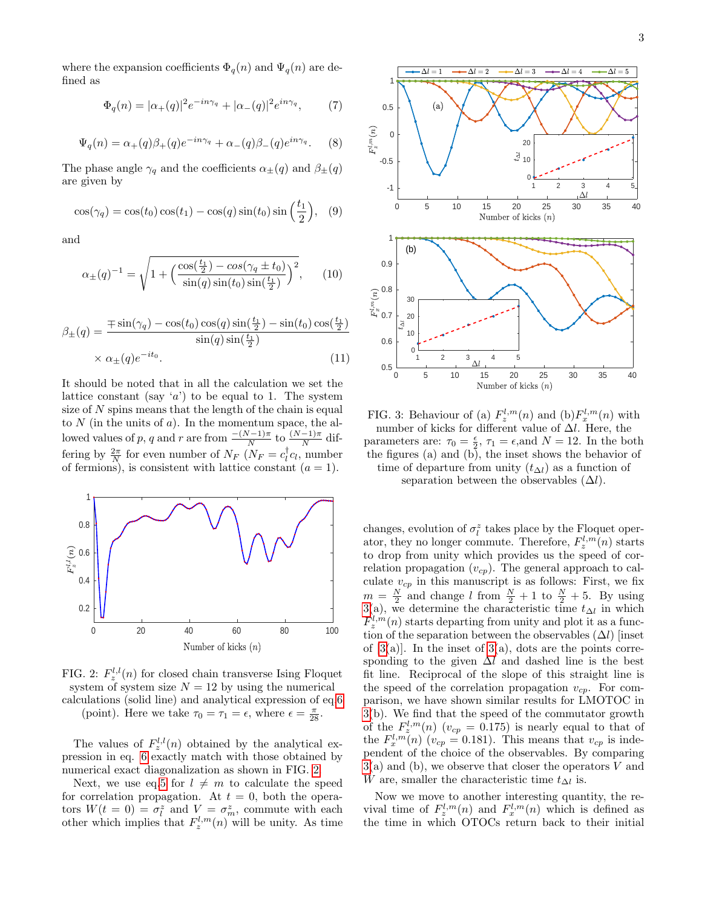where the expansion coefficients  $\Phi_q(n)$  and  $\Psi_q(n)$  are defined as

<span id="page-2-4"></span>
$$
\Phi_q(n) = |\alpha_+(q)|^2 e^{-in\gamma_q} + |\alpha_-(q)|^2 e^{in\gamma_q},\tag{7}
$$

<span id="page-2-5"></span>
$$
\Psi_q(n) = \alpha_+(q)\beta_+(q)e^{-in\gamma_q} + \alpha_-(q)\beta_-(q)e^{in\gamma_q}.\tag{8}
$$

The phase angle  $\gamma_q$  and the coefficients  $\alpha_{\pm}(q)$  and  $\beta_{\pm}(q)$ are given by

<span id="page-2-6"></span>
$$
\cos(\gamma_q) = \cos(t_0)\cos(t_1) - \cos(q)\sin(t_0)\sin\left(\frac{t_1}{2}\right), \quad (9)
$$

and

<span id="page-2-2"></span>
$$
\alpha_{\pm}(q)^{-1} = \sqrt{1 + \left(\frac{\cos(\frac{t_1}{2}) - \cos(\gamma_q \pm t_0)}{\sin(q)\sin(t_0)\sin(\frac{t_1}{2})}\right)^2},\qquad(10)
$$

<span id="page-2-3"></span>
$$
\beta_{\pm}(q) = \frac{\mp \sin(\gamma_q) - \cos(t_0)\cos(q)\sin(\frac{t_1}{2}) - \sin(t_0)\cos(\frac{t_1}{2})}{\sin(q)\sin(\frac{t_1}{2})}
$$

$$
\times \alpha_{\pm}(q)e^{-it_0}.
$$
(11)

It should be noted that in all the calculation we set the lattice constant (say 'a') to be equal to 1. The system size of  $N$  spins means that the length of the chain is equal to  $N$  (in the units of  $a$ ). In the momentum space, the allowed values of p, q and r are from  $\frac{-(N-1)\pi}{N}$  to  $\frac{(N-1)\pi}{N}$  differing by  $\frac{2\pi}{N}$  for even number of  $N_F$  ( $N_F = c_i^{\dagger} c_i$ , number of fermions), is consistent with lattice constant  $(a = 1)$ .

<span id="page-2-0"></span>

FIG. 2:  $F_z^{l,l}(n)$  for closed chain transverse Ising Floquet system of system size  $N = 12$  by using the numerical calculations (solid line) and analytical expression of eq[.6](#page-1-2) (point). Here we take  $\tau_0 = \tau_1 = \epsilon$ , where  $\epsilon = \frac{\pi}{28}$ .

The values of  $F_z^{l,l}(n)$  obtained by the analytical expression in eq. [6](#page-1-2) exactly match with those obtained by numerical exact diagonalization as shown in FIG. [2.](#page-2-0)

Next, we use eq[.5](#page-1-3) for  $l \neq m$  to calculate the speed for correlation propagation. At  $t = 0$ , both the operators  $W(t = 0) = \sigma_l^z$  and  $V = \sigma_m^z$ , commute with each other which implies that  $F_z^{l,m}(n)$  will be unity. As time

<span id="page-2-1"></span>

FIG. 3: Behaviour of (a)  $F_z^{l,m}(n)$  and (b) $F_x^{l,m}(n)$  with number of kicks for different value of  $\Delta l$ . Here, the parameters are:  $\tau_0 = \frac{\epsilon}{2}$ ,  $\tau_1 = \epsilon$ , and  $N = 12$ . In the both the figures (a) and  $(b)$ , the inset shows the behavior of time of departure from unity  $(t_{\Delta l})$  as a function of

separation between the observables  $(\Delta l)$ .

changes, evolution of  $\sigma_l^z$  takes place by the Floquet operator, they no longer commute. Therefore,  $F_z^{l,m}(n)$  starts to drop from unity which provides us the speed of correlation propagation  $(v_{cp})$ . The general approach to calculate  $v_{cp}$  in this manuscript is as follows: First, we fix  $m = \frac{N}{2}$  and change l from  $\frac{N}{2} + 1$  to  $\frac{N}{2} + 5$ . By using [3\(](#page-2-1)a), we determine the characteristic time  $t_{\Delta l}$  in which  $F_z^{l,m}(n)$  starts departing from unity and plot it as a function of the separation between the observables  $(\Delta l)$  [inset of  $[3(a)]$  $[3(a)]$ . In the inset of  $3(a)$ , dots are the points corresponding to the given  $\Delta l$  and dashed line is the best fit line. Reciprocal of the slope of this straight line is the speed of the correlation propagation  $v_{cp}$ . For comparison, we have shown similar results for LMOTOC in [3\(](#page-2-1)b). We find that the speed of the commutator growth of the  $F_z^{l,m}(n)$  ( $v_{cp} = 0.175$ ) is nearly equal to that of the  $F_x^{l,m}(n)$  ( $v_{cp} = 0.181$ ). This means that  $v_{cp}$  is independent of the choice of the observables. By comparing  $3(a)$  $3(a)$  and (b), we observe that closer the operators V and W are, smaller the characteristic time  $t_{\Delta l}$  is.

Now we move to another interesting quantity, the revival time of  $F_z^{l,m}(n)$  and  $F_x^{l,m}(n)$  which is defined as the time in which OTOCs return back to their initial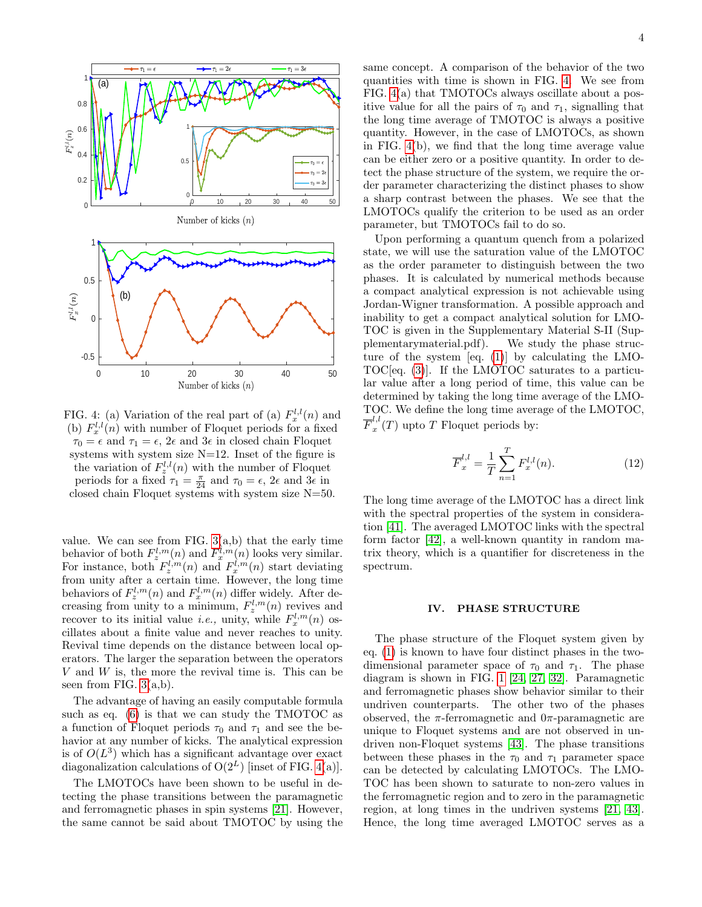<span id="page-3-0"></span>

FIG. 4: (a) Variation of the real part of (a)  $F_x^{l,l}(n)$  and (b)  $F_x^{l,l}(n)$  with number of Floquet periods for a fixed  $\tau_0 = \epsilon$  and  $\tau_1 = \epsilon$ ,  $2\epsilon$  and  $3\epsilon$  in closed chain Floquet systems with system size  $N=12$ . Inset of the figure is the variation of  $F_z^{l,l}(n)$  with the number of Floquet periods for a fixed  $\tau_1 = \frac{\pi}{24}$  and  $\tau_0 = \epsilon$ ,  $2\epsilon$  and  $3\epsilon$  in closed chain Floquet systems with system size N=50.

value. We can see from FIG.  $3(a,b)$  that the early time behavior of both  $F_z^{l,m}(n)$  and  $F_x^{l,m}(n)$  looks very similar. For instance, both  $F_z^{l,m}(n)$  and  $F_x^{l,m}(n)$  start deviating from unity after a certain time. However, the long time behaviors of  $F_z^{l,m}(n)$  and  $F_x^{l,m}(n)$  differ widely. After decreasing from unity to a minimum,  $F_z^{l,m}(n)$  revives and recover to its initial value *i.e.*, unity, while  $F_x^{l,m}(n)$  oscillates about a finite value and never reaches to unity. Revival time depends on the distance between local operators. The larger the separation between the operators  $V$  and  $W$  is, the more the revival time is. This can be seen from FIG. [3\(](#page-2-1)a,b).

The advantage of having an easily computable formula such as eq. [\(6\)](#page-1-2) is that we can study the TMOTOC as a function of Floquet periods  $\tau_0$  and  $\tau_1$  and see the behavior at any number of kicks. The analytical expression is of  $O(L^3)$  which has a significant advantage over exact diagonalization calculations of  $O(2^L)$  [inset of FIG. [4\(](#page-3-0)a)].

The LMOTOCs have been shown to be useful in detecting the phase transitions between the paramagnetic and ferromagnetic phases in spin systems [\[21\]](#page-9-11). However, the same cannot be said about TMOTOC by using the

same concept. A comparison of the behavior of the two quantities with time is shown in FIG. [4.](#page-3-0) We see from FIG. [4\(](#page-3-0)a) that TMOTOCs always oscillate about a positive value for all the pairs of  $\tau_0$  and  $\tau_1$ , signalling that the long time average of TMOTOC is always a positive quantity. However, in the case of LMOTOCs, as shown in FIG. [4\(](#page-3-0)b), we find that the long time average value can be either zero or a positive quantity. In order to detect the phase structure of the system, we require the order parameter characterizing the distinct phases to show a sharp contrast between the phases. We see that the LMOTOCs qualify the criterion to be used as an order parameter, but TMOTOCs fail to do so.

Upon performing a quantum quench from a polarized state, we will use the saturation value of the LMOTOC as the order parameter to distinguish between the two phases. It is calculated by numerical methods because a compact analytical expression is not achievable using Jordan-Wigner transformation. A possible approach and inability to get a compact analytical solution for LMO-TOC is given in the Supplementary Material S-II (Supplementarymaterial.pdf). We study the phase structure of the system [eq. [\(1\)](#page-1-1)] by calculating the LMO-TOC[eq. [\(3\)](#page-1-4)]. If the LMOTOC saturates to a particular value after a long period of time, this value can be determined by taking the long time average of the LMO-TOC. We define the long time average of the LMOTOC,  $\overline{F}_x^{l,l}$  $x^{t,\nu}(T)$  upto T Floquet periods by:

$$
\overline{F}_x^{l,l} = \frac{1}{T} \sum_{n=1}^T F_x^{l,l}(n).
$$
 (12)

The long time average of the LMOTOC has a direct link with the spectral properties of the system in consideration [\[41\]](#page-10-3). The averaged LMOTOC links with the spectral form factor [\[42\]](#page-10-4), a well-known quantity in random matrix theory, which is a quantifier for discreteness in the spectrum.

### IV. PHASE STRUCTURE

The phase structure of the Floquet system given by eq. [\(1\)](#page-1-1) is known to have four distinct phases in the twodimensional parameter space of  $\tau_0$  and  $\tau_1$ . The phase diagram is shown in FIG. [1](#page-1-0) [\[24,](#page-9-20) [27,](#page-9-21) [32\]](#page-9-18). Paramagnetic and ferromagnetic phases show behavior similar to their undriven counterparts. The other two of the phases observed, the  $\pi$ -ferromagnetic and  $0\pi$ -paramagnetic are unique to Floquet systems and are not observed in undriven non-Floquet systems [\[43\]](#page-10-5). The phase transitions between these phases in the  $\tau_0$  and  $\tau_1$  parameter space can be detected by calculating LMOTOCs. The LMO-TOC has been shown to saturate to non-zero values in the ferromagnetic region and to zero in the paramagnetic region, at long times in the undriven systems [\[21,](#page-9-11) [43\]](#page-10-5). Hence, the long time averaged LMOTOC serves as a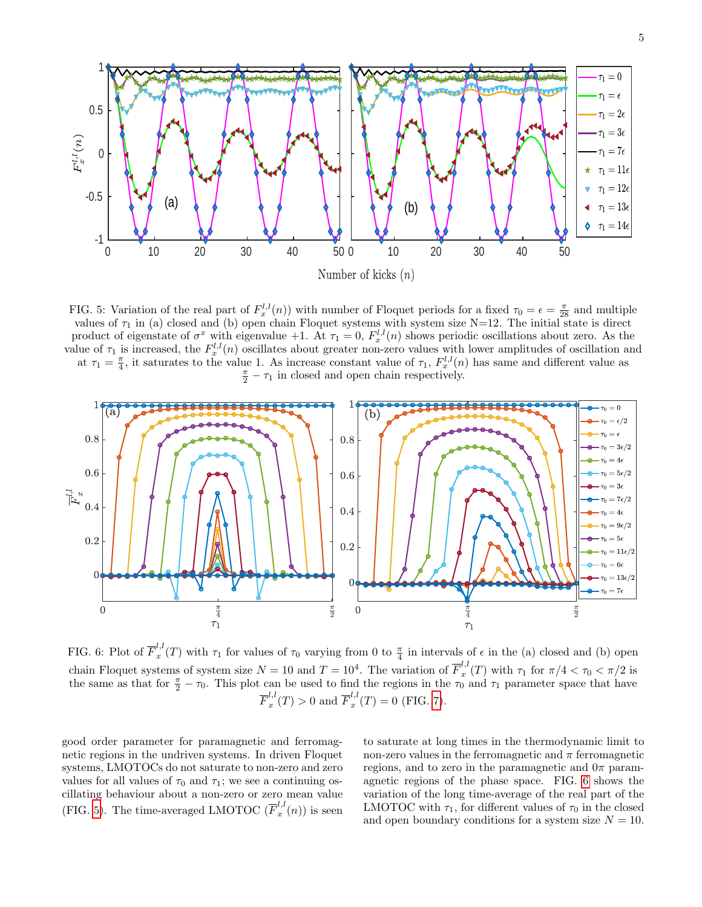<span id="page-4-0"></span>

FIG. 5: Variation of the real part of  $F_x^{l,l}(n)$  with number of Floquet periods for a fixed  $\tau_0 = \epsilon = \frac{\pi}{28}$  and multiple values of  $\tau_1$  in (a) closed and (b) open chain Floquet systems with system size N=12. The initial state is direct product of eigenstate of  $\sigma^x$  with eigenvalue +1. At  $\tau_1 = 0$ ,  $F_x^{l,l}(n)$  shows periodic oscillations about zero. As the value of  $\tau_1$  is increased, the  $F_x^{l,l}(n)$  oscillates about greater non-zero values with lower amplitudes of oscillation and at  $\tau_1 = \frac{\pi}{4}$ , it saturates to the value 1. As increase constant value of  $\tau_1$ ,  $F_x^{l,l}(n)$  has same and different value as  $\frac{\pi}{2} - \tau_1$  in closed and open chain respectively.

<span id="page-4-1"></span>

FIG. 6: Plot of  $\overline{F}_x^{l,l}$  $u_x^{l,t}(T)$  with  $\tau_1$  for values of  $\tau_0$  varying from 0 to  $\frac{\pi}{4}$  in intervals of  $\epsilon$  in the (a) closed and (b) open chain Floquet systems of system size  $N = 10$  and  $T = 10^4$ . The variation of  $\overline{F}_x^{l,l}$  $\int_{x}^{\ldots}$  (*T*) with  $\tau_1$  for  $\pi/4 < \tau_0 < \pi/2$  is the same as that for  $\frac{\pi}{2} - \tau_0$ . This plot can be used to find the regions in the  $\tau_0$  and  $\tau_1$  parameter space that have  $\overline{F}_x^{l,l}$  $x_x^{l,l}(T) > 0$  and  $\overline{F}_x^{l,l}$  $x''(T) = 0$  (FIG. [7\)](#page-5-0).

good order parameter for paramagnetic and ferromagnetic regions in the undriven systems. In driven Floquet systems, LMOTOCs do not saturate to non-zero and zero values for all values of  $\tau_0$  and  $\tau_1$ ; we see a continuing oscillating behaviour about a non-zero or zero mean value (FIG. [5\)](#page-4-0). The time-averaged LMOTOC  $(\overline{F}_x^{l,l})$  $x^{(n)}(n)$  is seen to saturate at long times in the thermodynamic limit to non-zero values in the ferromagnetic and  $\pi$  ferromagnetic regions, and to zero in the paramagnetic and  $0\pi$  paramagnetic regions of the phase space. FIG. [6](#page-4-1) shows the variation of the long time-average of the real part of the LMOTOC with  $\tau_1$ , for different values of  $\tau_0$  in the closed and open boundary conditions for a system size  $N = 10$ .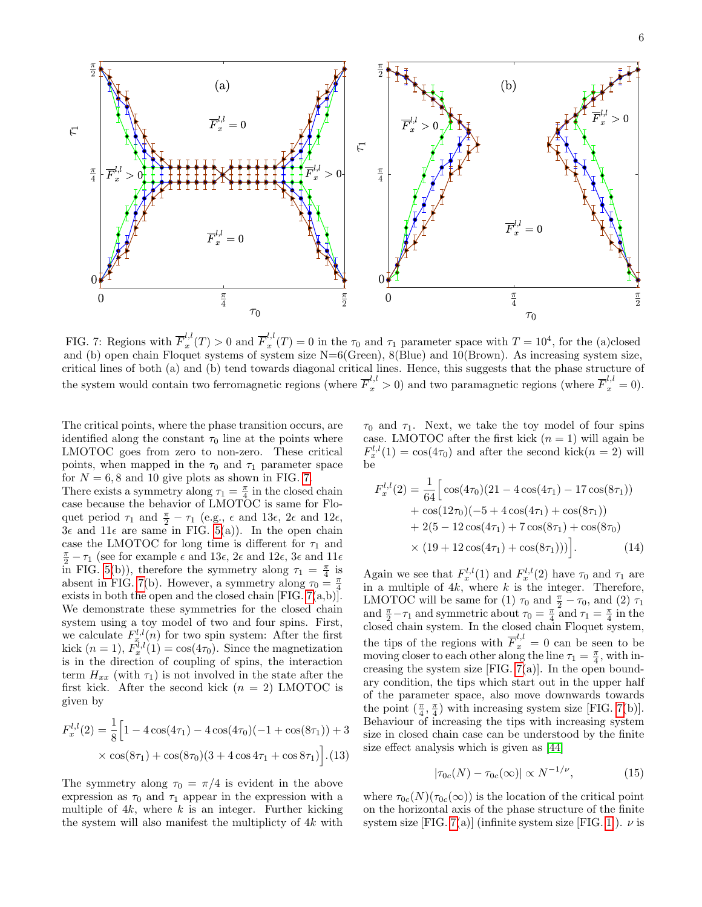<span id="page-5-0"></span>

FIG. 7: Regions with  $\overline{F}_x^{l,l}$  $x_x^{l,l}(T) > 0$  and  $\overline{F}_x^{l,l}$  $x''(T) = 0$  in the  $\tau_0$  and  $\tau_1$  parameter space with  $T = 10^4$ , for the (a)closed and (b) open chain Floquet systems of system size N=6(Green), 8(Blue) and 10(Brown). As increasing system size, critical lines of both (a) and (b) tend towards diagonal critical lines. Hence, this suggests that the phase structure of the system would contain two ferromagnetic regions (where  $\overline{F}_x^{l,l} > 0$ ) and two paramagnetic regions (where  $\overline{F}_x^{l,l} = 0$ ).

The critical points, where the phase transition occurs, are identified along the constant  $\tau_0$  line at the points where LMOTOC goes from zero to non-zero. These critical points, when mapped in the  $\tau_0$  and  $\tau_1$  parameter space for  $N = 6, 8$  and 10 give plots as shown in FIG. [7.](#page-5-0)

There exists a symmetry along  $\tau_1 = \frac{\pi}{4}$  in the closed chain case because the behavior of LMOTOC is same for Floquet period  $\tau_1$  and  $\frac{\pi}{2} - \tau_1$  (e.g.,  $\epsilon$  and 13 $\epsilon$ ,  $2\epsilon$  and 12 $\epsilon$ ,  $3\epsilon$  and  $11\epsilon$  are same in FIG. [5\(](#page-4-0)a)). In the open chain case the LMOTOC for long time is different for  $\tau_1$  and  $\frac{\pi}{2} - \tau_1$  (see for example  $\epsilon$  and 13 $\epsilon$ ,  $2\epsilon$  and 12 $\epsilon$ ,  $3\epsilon$  and 11 $\epsilon$ in FIG. [5\(](#page-4-0)b)), therefore the symmetry along  $\tau_1 = \frac{\pi}{4}$  is absent in FIG. [7\(](#page-5-0)b). However, a symmetry along  $\tau_0 = \frac{\pi}{4}$ exists in both the open and the closed chain [FIG.  $7(a,b)$ ]. We demonstrate these symmetries for the closed chain system using a toy model of two and four spins. First, we calculate  $F_{x}^{l,l}(n)$  for two spin system: After the first kick  $(n = 1), F_x^{\overline{l},l}(1) = \cos(4\tau_0)$ . Since the magnetization is in the direction of coupling of spins, the interaction term  $H_{xx}$  (with  $\tau_1$ ) is not involved in the state after the first kick. After the second kick  $(n = 2)$  LMOTOC is given by

$$
F_x^{l,l}(2) = \frac{1}{8} \Big[ 1 - 4 \cos(4\tau_1) - 4 \cos(4\tau_0)(-1 + \cos(8\tau_1)) + 3
$$
  
×  $\cos(8\tau_1) + \cos(8\tau_0)(3 + 4 \cos 4\tau_1 + \cos 8\tau_1) \Big].$  (13)

The symmetry along  $\tau_0 = \pi/4$  is evident in the above expression as  $\tau_0$  and  $\tau_1$  appear in the expression with a multiple of  $4k$ , where k is an integer. Further kicking the system will also manifest the multiplicty of 4k with

 $\tau_0$  and  $\tau_1$ . Next, we take the toy model of four spins case. LMOTOC after the first kick  $(n = 1)$  will again be  $F_x^{l,l}(1) = \cos(4\tau_0)$  and after the second kick $(n = 2)$  will be

$$
F_x^{l,l}(2) = \frac{1}{64} \Big[ \cos(4\tau_0)(21 - 4\cos(4\tau_1) - 17\cos(8\tau_1))
$$
  
+  $\cos(12\tau_0)(-5 + 4\cos(4\tau_1) + \cos(8\tau_1))$   
+  $2(5 - 12\cos(4\tau_1) + 7\cos(8\tau_1) + \cos(8\tau_0))$   
×  $(19 + 12\cos(4\tau_1) + \cos(8\tau_1))) \Big].$  (14)

Again we see that  $F_x^{l,l}(1)$  and  $F_x^{l,l}(2)$  have  $\tau_0$  and  $\tau_1$  are in a multiple of  $4k$ , where k is the integer. Therefore, LMOTOC will be same for (1)  $\tau_0$  and  $\frac{\pi}{2} - \tau_0$ , and (2)  $\tau_1$ and  $\frac{\pi}{2} - \tau_1$  and symmetric about  $\tau_0 = \frac{\pi}{4}$  and  $\tau_1 = \frac{\pi}{4}$  in the closed chain system. In the closed chain Floquet system, the tips of the regions with  $\overline{F}_x^{l,l} = 0$  can be seen to be moving closer to each other along the line  $\tau_1 = \frac{\pi}{4}$ , with increasing the system size [FIG. [7\(](#page-5-0)a)]. In the open boundary condition, the tips which start out in the upper half of the parameter space, also move downwards towards the point  $(\frac{\pi}{4}, \frac{\pi}{4})$  with increasing system size [FIG. [7\(](#page-5-0)b)]. Behaviour of increasing the tips with increasing system size in closed chain case can be understood by the finite size effect analysis which is given as [\[44\]](#page-10-6)

$$
|\tau_{0c}(N) - \tau_{0c}(\infty)| \propto N^{-1/\nu}, \tag{15}
$$

where  $\tau_{0c}(N)(\tau_{0c}(\infty))$  is the location of the critical point on the horizontal axis of the phase structure of the finite system size [FIG. [7\(](#page-5-0)a)] (infinite system size [FIG. [1\]](#page-1-0)).  $\nu$  is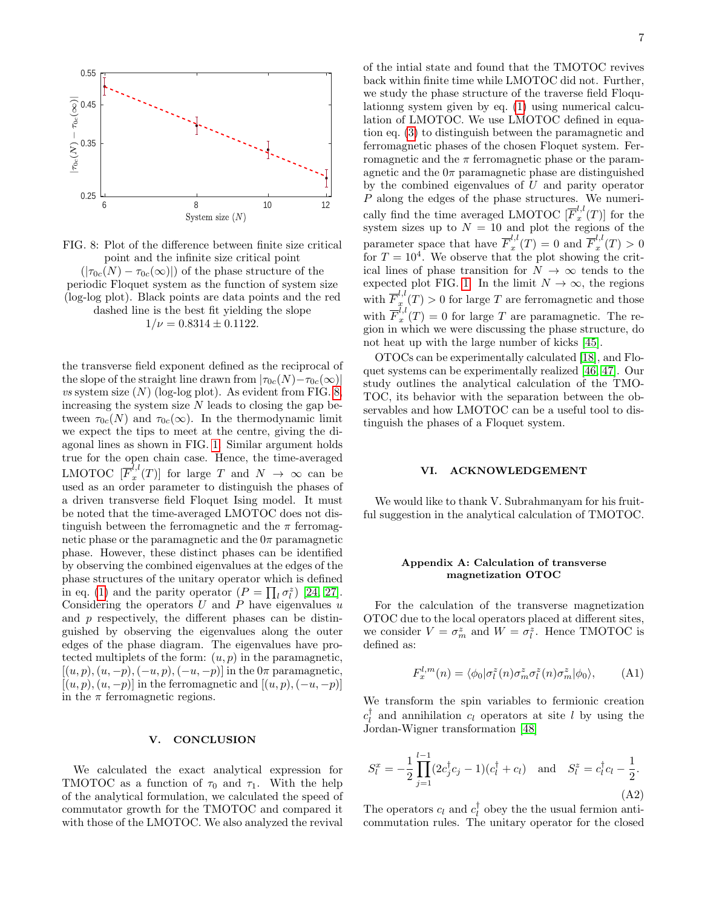<span id="page-6-0"></span>

FIG. 8: Plot of the difference between finite size critical point and the infinite size critical point  $(|\tau_{0c}(N) - \tau_{0c}(\infty)|)$  of the phase structure of the periodic Floquet system as the function of system size (log-log plot). Black points are data points and the red dashed line is the best fit yielding the slope  $1/\nu = 0.8314 \pm 0.1122$ .

the transverse field exponent defined as the reciprocal of the slope of the straight line drawn from  $|\tau_{0c}(N)-\tau_{0c}(\infty)|$ vs system size  $(N)$  (log-log plot). As evident from FIG. [8,](#page-6-0) increasing the system size  $N$  leads to closing the gap between  $\tau_{0c}(N)$  and  $\tau_{0c}(\infty)$ . In the thermodynamic limit we expect the tips to meet at the centre, giving the diagonal lines as shown in FIG. [1.](#page-1-0) Similar argument holds true for the open chain case. Hence, the time-averaged LMOTOC  $[\overline{F}_x^{l,l}]$  $\int_x^{\ldots} (T)$  for large T and  $N \to \infty$  can be used as an order parameter to distinguish the phases of a driven transverse field Floquet Ising model. It must be noted that the time-averaged LMOTOC does not distinguish between the ferromagnetic and the  $\pi$  ferromagnetic phase or the paramagnetic and the  $0\pi$  paramagnetic phase. However, these distinct phases can be identified by observing the combined eigenvalues at the edges of the phase structures of the unitary operator which is defined in eq. [\(1\)](#page-1-1) and the parity operator  $(P = \prod_l \sigma_l^z)$  [\[24,](#page-9-20) [27\]](#page-9-21). Considering the operators  $U$  and  $P$  have eigenvalues  $u$ and  $p$  respectively, the different phases can be distinguished by observing the eigenvalues along the outer edges of the phase diagram. The eigenvalues have protected multiplets of the form:  $(u, p)$  in the paramagnetic,  $[(u, p), (u, -p), (-u, p), (-u, -p)]$  in the  $0\pi$  paramagnetic,  $[(u, p), (u, -p)]$  in the ferromagnetic and  $[(u, p), (-u, -p)]$ in the  $\pi$  ferromagnetic regions.

### V. CONCLUSION

We calculated the exact analytical expression for TMOTOC as a function of  $\tau_0$  and  $\tau_1$ . With the help of the analytical formulation, we calculated the speed of commutator growth for the TMOTOC and compared it with those of the LMOTOC. We also analyzed the revival

of the intial state and found that the TMOTOC revives back within finite time while LMOTOC did not. Further, we study the phase structure of the traverse field Floqulationng system given by eq. [\(1\)](#page-1-1) using numerical calculation of LMOTOC. We use LMOTOC defined in equation eq. [\(3\)](#page-1-4) to distinguish between the paramagnetic and ferromagnetic phases of the chosen Floquet system. Ferromagnetic and the  $\pi$  ferromagnetic phase or the paramagnetic and the  $0\pi$  paramagnetic phase are distinguished by the combined eigenvalues of  $U$  and parity operator P along the edges of the phase structures. We numerically find the time averaged LMOTOC  $[\overline{F}_x^{l,l}]$  $x'(T)$  for the system sizes up to  $N = 10$  and plot the regions of the parameter space that have  $\overline{F}_x^{l,l}$  $x^{l,l}(T) = 0$  and  $\overline{F}_x^{l,l}$  $x^{t,\nu}(T) > 0$ for  $T = 10<sup>4</sup>$ . We observe that the plot showing the critical lines of phase transition for  $N \to \infty$  tends to the expected plot FIG. [1.](#page-1-0) In the limit  $N \to \infty$ , the regions with  $\overline{F}_x^{l,l}$  $x(x) > 0$  for large T are ferromagnetic and those with  $\overline{F}_x^{l,l}$  $x''(T) = 0$  for large T are paramagnetic. The region in which we were discussing the phase structure, do not heat up with the large number of kicks [\[45\]](#page-10-7).

OTOCs can be experimentally calculated [\[18\]](#page-9-9), and Floquet systems can be experimentally realized [\[46,](#page-10-8) [47\]](#page-10-9). Our study outlines the analytical calculation of the TMO-TOC, its behavior with the separation between the observables and how LMOTOC can be a useful tool to distinguish the phases of a Floquet system.

## VI. ACKNOWLEDGEMENT

We would like to thank V. Subrahmanyam for his fruitful suggestion in the analytical calculation of TMOTOC.

# Appendix A: Calculation of transverse magnetization OTOC

For the calculation of the transverse magnetization OTOC due to the local operators placed at different sites, we consider  $V = \sigma_m^z$  and  $W = \sigma_l^z$ . Hence TMOTOC is defined as:

$$
F_x^{l,m}(n) = \langle \phi_0 | \sigma_l^z(n) \sigma_m^z \sigma_l^z(n) \sigma_m^z | \phi_0 \rangle, \qquad \text{(A1)}
$$

We transform the spin variables to fermionic creation  $c_l^{\dagger}$  and annihilation  $c_l$  operators at site l by using the Jordan-Wigner transformation [\[48\]](#page-10-10)

$$
S_l^x = -\frac{1}{2} \prod_{j=1}^{l-1} (2c_j^{\dagger} c_j - 1)(c_l^{\dagger} + c_l) \text{ and } S_l^z = c_l^{\dagger} c_l - \frac{1}{2}.
$$
\n(A2)

The operators  $c_l$  and  $c_l^{\dagger}$  obey the the usual fermion anticommutation rules. The unitary operator for the closed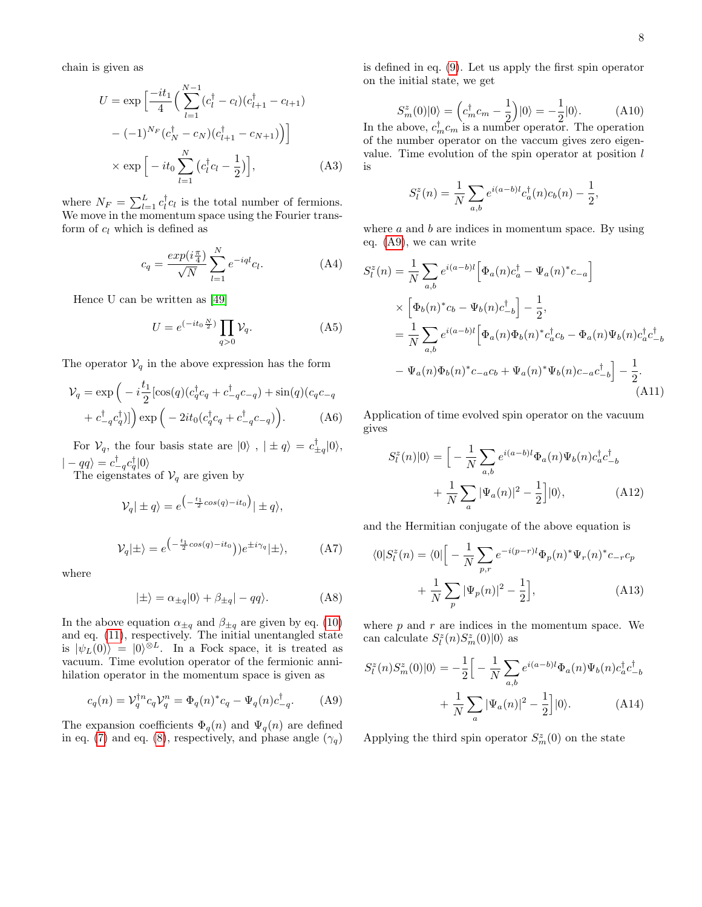chain is given as

$$
U = \exp\left[\frac{-it_1}{4}\left(\sum_{l=1}^{N-1} (c_l^{\dagger} - c_l)(c_{l+1}^{\dagger} - c_{l+1}) - (-1)^{N_F} (c_N^{\dagger} - c_N)(c_{l+1}^{\dagger} - c_{N+1})\right)\right]
$$

$$
\times \exp\left[-it_0 \sum_{l=1}^{N} (c_l^{\dagger} c_l - \frac{1}{2})\right],
$$
(A3)

where  $N_F = \sum_{l=1}^{L} c_l^{\dagger} c_l$  is the total number of fermions. We move in the momentum space using the Fourier transform of  $c_l$  which is defined as

$$
c_q = \frac{\exp(i\frac{\pi}{4})}{\sqrt{N}} \sum_{l=1}^{N} e^{-iql} c_l.
$$
 (A4)

Hence U can be written as [\[49\]](#page-10-11)

$$
U = e^{(-it_0 \frac{N}{2})} \prod_{q>0} V_q.
$$
 (A5)

The operator  $V_q$  in the above expression has the form

$$
\mathcal{V}_q = \exp\left(-i\frac{t_1}{2}[\cos(q)(c_q^{\dagger}c_q + c_{-q}^{\dagger}c_{-q}) + \sin(q)(c_qc_{-q} + c_{-q}^{\dagger}c_q^{\dagger})]\right) \exp\left(-2it_0(c_q^{\dagger}c_q + c_{-q}^{\dagger}c_{-q})\right).
$$
 (A6)

For  $V_q$ , the four basis state are  $|0\rangle$ ,  $|\pm q\rangle = c_{\pm q}^{\dagger} |0\rangle$ ,  $|-qq\rangle = c_{-q}^{\dagger}c_{q}^{\dagger}|0\rangle$ 

The eigenstates of  $V_q$  are given by

$$
\mathcal{V}_q|\pm q\rangle = e^{\left(-\frac{t_1}{2}cos(q)-it_0\right)}|\pm q\rangle,
$$

$$
\mathcal{V}_q|\pm\rangle = e^{\left(-\frac{t_1}{2}\cos(q) - it_0\right)}e^{\pm i\gamma_q}|\pm\rangle, \tag{A7}
$$

where

$$
|\pm\rangle = \alpha_{\pm q}|0\rangle + \beta_{\pm q}| - qq\rangle. \tag{A8}
$$

In the above equation  $\alpha_{\pm q}$  and  $\beta_{\pm q}$  are given by eq. [\(10\)](#page-2-2) and eq. [\(11\)](#page-2-3), respectively. The initial unentangled state is  $|\psi_L(0)\rangle = |0\rangle^{\otimes L}$ . In a Fock space, it is treated as vacuum. Time evolution operator of the fermionic annihilation operator in the momentum space is given as

<span id="page-7-0"></span>
$$
c_q(n) = \mathcal{V}_q^{\dagger n} c_q \mathcal{V}_q^n = \Phi_q(n)^* c_q - \Psi_q(n) c_{-q}^{\dagger}.
$$
 (A9)

The expansion coefficients  $\Phi_q(n)$  and  $\Psi_q(n)$  are defined in eq. [\(7\)](#page-2-4) and eq. [\(8\)](#page-2-5), respectively, and phase angle  $(\gamma_q)$ 

is defined in eq. [\(9\)](#page-2-6). Let us apply the first spin operator on the initial state, we get

$$
S_m^z(0)|0\rangle = \left(c_m^{\dagger}c_m - \frac{1}{2}\right)|0\rangle = -\frac{1}{2}|0\rangle.
$$
 (A10)  
In the above,  $c_m^{\dagger}c_m$  is a number operator. The operation

of the number operator on the vaccum gives zero eigenvalue. Time evolution of the spin operator at position l is

$$
S_l^z(n) = \frac{1}{N} \sum_{a,b} e^{i(a-b)l} c_a^{\dagger}(n) c_b(n) - \frac{1}{2},
$$

where  $a$  and  $b$  are indices in momentum space. By using eq. [\(A9\)](#page-7-0), we can write

$$
S_{l}^{z}(n) = \frac{1}{N} \sum_{a,b} e^{i(a-b)l} \left[ \Phi_{a}(n)c_{a}^{\dagger} - \Psi_{a}(n)^{*}c_{-a} \right]
$$
  
 
$$
\times \left[ \Phi_{b}(n)^{*}c_{b} - \Psi_{b}(n)c_{-b}^{\dagger} \right] - \frac{1}{2},
$$
  
\n
$$
= \frac{1}{N} \sum_{a,b} e^{i(a-b)l} \left[ \Phi_{a}(n)\Phi_{b}(n)^{*}c_{a}^{\dagger}c_{b} - \Phi_{a}(n)\Psi_{b}(n)c_{a}^{\dagger}c_{-b}^{\dagger} \right]
$$
  
\n
$$
- \Psi_{a}(n)\Phi_{b}(n)^{*}c_{-a}c_{b} + \Psi_{a}(n)^{*}\Psi_{b}(n)c_{-a}c_{-b}^{\dagger} - \frac{1}{2}.
$$
\n(A11)

Application of time evolved spin operator on the vacuum gives

$$
S_l^z(n)|0\rangle = \left[ -\frac{1}{N} \sum_{a,b} e^{i(a-b)l} \Phi_a(n) \Psi_b(n) c_a^{\dagger} c_{-b}^{\dagger} + \frac{1}{N} \sum_a |\Psi_a(n)|^2 - \frac{1}{2} \right] |0\rangle, \tag{A12}
$$

and the Hermitian conjugate of the above equation is

<span id="page-7-1"></span>
$$
\langle 0|S_l^z(n) = \langle 0|\left[-\frac{1}{N}\sum_{p,r} e^{-i(p-r)l}\Phi_p(n)^*\Psi_r(n)^*c_{-r}c_p\right.+\frac{1}{N}\sum_p |\Psi_p(n)|^2 - \frac{1}{2}\right],
$$
 (A13)

where  $p$  and  $r$  are indices in the momentum space. We can calculate  $S_l^z(n)S_m^z(0)|0\rangle$  as

$$
S_l^z(n)S_m^z(0)|0\rangle = -\frac{1}{2}\Big[-\frac{1}{N}\sum_{a,b}e^{i(a-b)l}\Phi_a(n)\Psi_b(n)c_a^{\dagger}c_{-b}^{\dagger} + \frac{1}{N}\sum_a|\Psi_a(n)|^2 - \frac{1}{2}\Big]|0\rangle.
$$
 (A14)

Applying the third spin operator  $S_m^z(0)$  on the state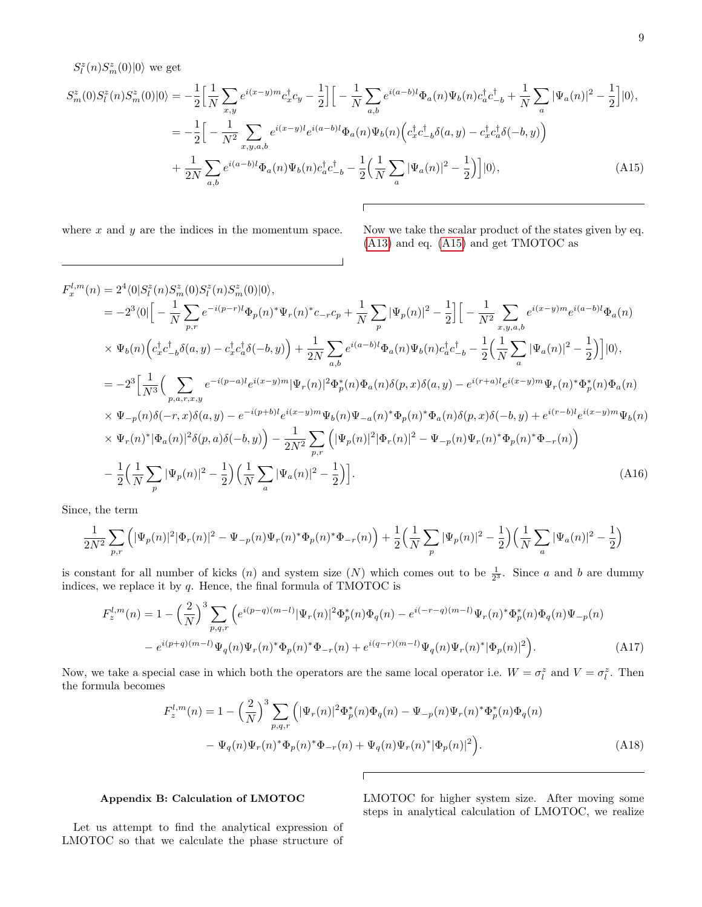$S^z_l(n) S^z_m(0) |0\rangle$  we get

<span id="page-8-0"></span>
$$
S_{m}^{z}(0)S_{l}^{z}(n)S_{m}^{z}(0)|0\rangle = -\frac{1}{2}\Big[\frac{1}{N}\sum_{x,y}e^{i(x-y)m}c_{x}^{\dagger}c_{y} - \frac{1}{2}\Big]\Big[-\frac{1}{N}\sum_{a,b}e^{i(a-b)l}\Phi_{a}(n)\Psi_{b}(n)c_{a}^{\dagger}c_{-b}^{\dagger} + \frac{1}{N}\sum_{a}|\Psi_{a}(n)|^{2} - \frac{1}{2}\Big]|0\rangle,
$$
  
\n
$$
= -\frac{1}{2}\Big[-\frac{1}{N^{2}}\sum_{x,y,a,b}e^{i(x-y)l}e^{i(a-b)l}\Phi_{a}(n)\Psi_{b}(n)\Big(c_{x}^{\dagger}c_{-b}^{\dagger}\delta(a,y) - c_{x}^{\dagger}c_{a}^{\dagger}\delta(-b,y)\Big) + \frac{1}{2N}\sum_{a,b}e^{i(a-b)l}\Phi_{a}(n)\Psi_{b}(n)c_{a}^{\dagger}c_{-b}^{\dagger} - \frac{1}{2}\Big(\frac{1}{N}\sum_{a}|\Psi_{a}(n)|^{2} - \frac{1}{2}\Big)\Big]|0\rangle,
$$
\n(A15)

 $\sqrt{ }$ 

where x and y are the indices in the momentum space. Now we take the scalar product of the states given by eq. [\(A13\)](#page-7-1) and eq. [\(A15\)](#page-8-0) and get TMOTOC as

$$
F_x^{l,m}(n) = 2^4 \langle 0|S_l^z(n)S_m^z(0)S_l^z(n)S_m^z(0)|0\rangle,
$$
  
\n
$$
= -2^3 \langle 0|\left[-\frac{1}{N}\sum_{p,r} e^{-i(p-r)l}\Phi_p(n)^*\Psi_r(n)^*c_{-r}c_p + \frac{1}{N}\sum_{p}|\Psi_p(n)|^2 - \frac{1}{2}\right]\left[-\frac{1}{N^2}\sum_{x,y,a,b} e^{i(x-y)m}e^{i(a-b)l}\Phi_a(n)\right]
$$
  
\n
$$
\times \Psi_b(n)\left(c_x^{\dagger}c_{-b}^{\dagger}\delta(a,y) - c_x^{\dagger}c_a^{\dagger}\delta(-b,y)\right) + \frac{1}{2N}\sum_{a,b} e^{i(a-b)l}\Phi_a(n)\Psi_b(n)c_a^{\dagger}c_{-b}^{\dagger} - \frac{1}{2}\left(\frac{1}{N}\sum_{a}|\Psi_a(n)|^2 - \frac{1}{2}\right)\right]|0\rangle,
$$
  
\n
$$
= -2^3\left[\frac{1}{N^3}\left(\sum_{p,a,r,x,y} e^{-i(p-a)l}e^{i(x-y)m}|\Psi_r(n)|^2\Phi_p^*(n)\Phi_a(n)\delta(p,x)\delta(a,y) - e^{i(r+a)l}e^{i(x-y)m}\Psi_r(n)^*\Phi_p^*(n)\Phi_a(n)\right]
$$
  
\n
$$
\times \Psi_{-p}(n)\delta(-r,x)\delta(a,y) - e^{-i(p+b)l}e^{i(x-y)m}\Psi_b(n)\Psi_{-a}(n)^*\Phi_p(n)^*\Phi_a(n)\delta(p,x)\delta(-b,y) + e^{i(r-b)l}e^{i(x-y)m}\Psi_b(n)\right]
$$
  
\n
$$
\times \Psi_r(n)^*|\Phi_a(n)|^2\delta(p,a)\delta(-b,y)\right) - \frac{1}{2N^2}\sum_{p,r}\left(|\Psi_p(n)|^2|\Phi_r(n)|^2 - \Psi_{-p}(n)\Psi_r(n)^*\Phi_p(n)^*\Phi_{-r}(n)\right)
$$
  
\n
$$
- \frac{1}{2}\left(\frac{1}{N}\sum_{p}|\Psi_p(n)|^2 - \frac{1}{2}\right)\left(\frac{1}{N}\sum_{a}|\Psi_a(n)|^2 - \frac{1}{2}\right)\right].
$$
 (A16)

Since, the term

$$
\frac{1}{2N^2} \sum_{p,r} \left( |\Psi_p(n)|^2 |\Phi_r(n)|^2 - \Psi_{-p}(n) \Psi_r(n)^* \Phi_p(n)^* \Phi_{-r}(n) \right) + \frac{1}{2} \left( \frac{1}{N} \sum_p |\Psi_p(n)|^2 - \frac{1}{2} \right) \left( \frac{1}{N} \sum_a |\Psi_a(n)|^2 - \frac{1}{2} \right)
$$

is constant for all number of kicks  $(n)$  and system size  $(N)$  which comes out to be  $\frac{1}{2^3}$ . Since a and b are dummy indices, we replace it by  $q$ . Hence, the final formula of TMOTOC is

$$
F_z^{l,m}(n) = 1 - \left(\frac{2}{N}\right)^3 \sum_{p,q,r} \left( e^{i(p-q)(m-l)} |\Psi_r(n)|^2 \Phi_p^*(n) \Phi_q(n) - e^{i(-r-q)(m-l)} \Psi_r(n)^* \Phi_p^*(n) \Phi_q(n) \Psi_{-p}(n) \right)
$$

$$
- e^{i(p+q)(m-l)} \Psi_q(n) \Psi_r(n)^* \Phi_p(n)^* \Phi_{-r}(n) + e^{i(q-r)(m-l)} \Psi_q(n) \Psi_r(n)^* |\Phi_p(n)|^2 \right). \tag{A17}
$$

Now, we take a special case in which both the operators are the same local operator i.e.  $W = \sigma_l^z$  and  $V = \sigma_l^z$ . Then the formula becomes

$$
F_z^{l,m}(n) = 1 - \left(\frac{2}{N}\right)^3 \sum_{p,q,r} \left( |\Psi_r(n)|^2 \Phi_p^*(n) \Phi_q(n) - \Psi_{-p}(n) \Psi_r(n)^* \Phi_p^*(n) \Phi_q(n) - \Psi_q(n) \Psi_r(n)^* \Phi_p(n)^* \Phi_{-r}(n) + \Psi_q(n) \Psi_r(n)^* |\Phi_p(n)|^2 \right).
$$
\n(A18)

# Appendix B: Calculation of LMOTOC

LMOTOC for higher system size. After moving some steps in analytical calculation of LMOTOC, we realize

Let us attempt to find the analytical expression of LMOTOC so that we calculate the phase structure of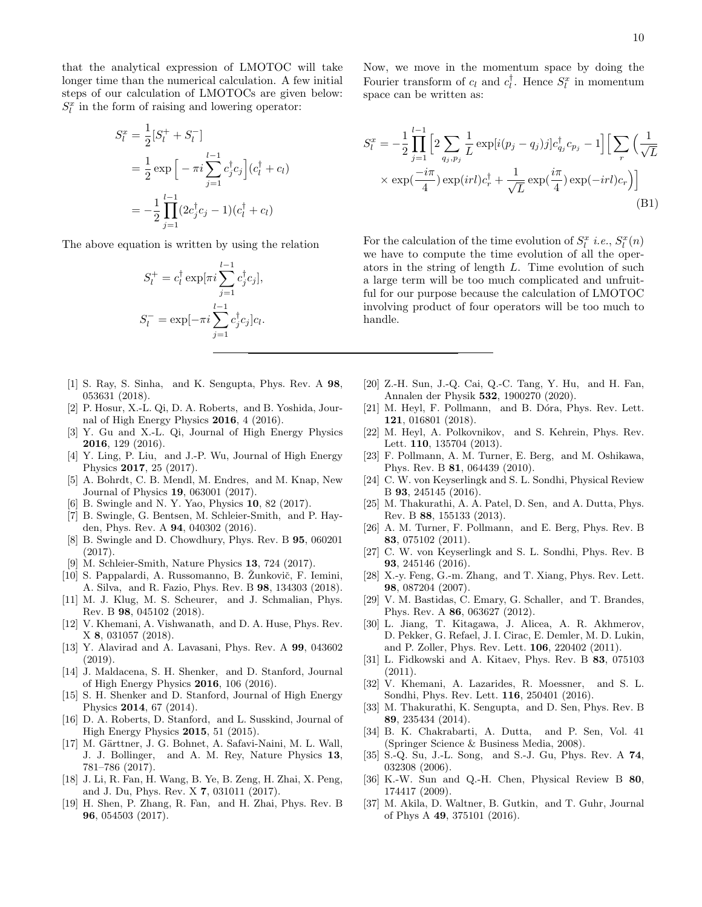that the analytical expression of LMOTOC will take longer time than the numerical calculation. A few initial steps of our calculation of LMOTOCs are given below:  $S_l^x$  in the form of raising and lowering operator:

$$
S_l^x = \frac{1}{2} [S_l^+ + S_l^-]
$$
  
=  $\frac{1}{2} \exp \left[ -\pi i \sum_{j=1}^{l-1} c_j^{\dagger} c_j \right] (c_l^{\dagger} + c_l)$   
=  $-\frac{1}{2} \prod_{j=1}^{l-1} (2c_j^{\dagger} c_j - 1) (c_l^{\dagger} + c_l)$ 

The above equation is written by using the relation

$$
S_l^+ = c_l^{\dagger} \exp[\pi i \sum_{j=1}^{l-1} c_j^{\dagger} c_j],
$$
  

$$
S_l^- = \exp[-\pi i \sum_{j=1}^{l-1} c_j^{\dagger} c_j] c_l.
$$

- <span id="page-9-0"></span>[1] S. Ray, S. Sinha, and K. Sengupta, Phys. Rev. A 98, 053631 (2018).
- <span id="page-9-2"></span>[2] P. Hosur, X.-L. Qi, D. A. Roberts, and B. Yoshida, Journal of High Energy Physics 2016, 4 (2016).
- [3] Y. Gu and X.-L. Qi, Journal of High Energy Physics 2016, 129 (2016).
- <span id="page-9-1"></span>[4] Y. Ling, P. Liu, and J.-P. Wu, Journal of High Energy Physics 2017, 25 (2017).
- <span id="page-9-3"></span>[5] A. Bohrdt, C. B. Mendl, M. Endres, and M. Knap, New Journal of Physics 19, 063001 (2017).
- [6] B. Swingle and N. Y. Yao, Physics 10, 82 (2017).
- [7] B. Swingle, G. Bentsen, M. Schleier-Smith, and P. Hayden, Phys. Rev. A 94, 040302 (2016).
- [8] B. Swingle and D. Chowdhury, Phys. Rev. B 95, 060201 (2017).
- [9] M. Schleier-Smith, Nature Physics 13, 724 (2017).
- [10] S. Pappalardi, A. Russomanno, B. Žunkovič, F. Iemini, A. Silva, and R. Fazio, Phys. Rev. B 98, 134303 (2018).
- [11] M. J. Klug, M. S. Scheurer, and J. Schmalian, Phys. Rev. B 98, 045102 (2018).
- [12] V. Khemani, A. Vishwanath, and D. A. Huse, Phys. Rev. X 8, 031057 (2018).
- <span id="page-9-4"></span>[13] Y. Alavirad and A. Lavasani, Phys. Rev. A 99, 043602 (2019).
- <span id="page-9-5"></span>[14] J. Maldacena, S. H. Shenker, and D. Stanford, Journal of High Energy Physics 2016, 106 (2016).
- <span id="page-9-6"></span>[15] S. H. Shenker and D. Stanford, Journal of High Energy Physics 2014, 67 (2014).
- <span id="page-9-7"></span>[16] D. A. Roberts, D. Stanford, and L. Susskind, Journal of High Energy Physics 2015, 51 (2015).
- <span id="page-9-8"></span>[17] M. Gärttner, J. G. Bohnet, A. Safavi-Naini, M. L. Wall, J. J. Bollinger, and A. M. Rey, Nature Physics 13, 781–786 (2017).
- <span id="page-9-9"></span>[18] J. Li, R. Fan, H. Wang, B. Ye, B. Zeng, H. Zhai, X. Peng, and J. Du, Phys. Rev. X 7, 031011 (2017).
- <span id="page-9-10"></span>[19] H. Shen, P. Zhang, R. Fan, and H. Zhai, Phys. Rev. B 96, 054503 (2017).

Now, we move in the momentum space by doing the Fourier transform of  $c_l$  and  $c_l^{\dagger}$ . Hence  $S_l^x$  in momentum space can be written as:

$$
S_l^x = -\frac{1}{2} \prod_{j=1}^{l-1} \left[ 2 \sum_{q_j, p_j} \frac{1}{L} \exp[i(p_j - q_j)] c_{q_j}^\dagger c_{p_j} - 1 \right] \left[ \sum_r \left( \frac{1}{\sqrt{L}} \right) \times \exp(\frac{-i\pi}{4}) \exp(itl) c_r^\dagger + \frac{1}{\sqrt{L}} \exp(\frac{i\pi}{4}) \exp(-itl) c_r \right) \right]
$$
\n(B1)

For the calculation of the time evolution of  $S_l^x$  *i.e.*,  $S_l^x(n)$ we have to compute the time evolution of all the operators in the string of length L. Time evolution of such a large term will be too much complicated and unfruitful for our purpose because the calculation of LMOTOC involving product of four operators will be too much to handle.

- <span id="page-9-12"></span>[20] Z.-H. Sun, J.-Q. Cai, Q.-C. Tang, Y. Hu, and H. Fan, Annalen der Physik 532, 1900270 (2020).
- <span id="page-9-11"></span>[21] M. Heyl, F. Pollmann, and B. Dóra, Phys. Rev. Lett. 121, 016801 (2018).
- <span id="page-9-13"></span>[22] M. Heyl, A. Polkovnikov, and S. Kehrein, Phys. Rev. Lett. 110, 135704 (2013).
- [23] F. Pollmann, A. M. Turner, E. Berg, and M. Oshikawa, Phys. Rev. B 81, 064439 (2010).
- <span id="page-9-20"></span>[24] C. W. von Keyserlingk and S. L. Sondhi, Physical Review B 93, 245145 (2016).
- <span id="page-9-19"></span>[25] M. Thakurathi, A. A. Patel, D. Sen, and A. Dutta, Phys. Rev. B 88, 155133 (2013).
- [26] A. M. Turner, F. Pollmann, and E. Berg, Phys. Rev. B 83, 075102 (2011).
- <span id="page-9-21"></span>[27] C. W. von Keyserlingk and S. L. Sondhi, Phys. Rev. B 93, 245146 (2016).
- [28] X.-y. Feng, G.-m. Zhang, and T. Xiang, Phys. Rev. Lett. 98, 087204 (2007).
- [29] V. M. Bastidas, C. Emary, G. Schaller, and T. Brandes, Phys. Rev. A 86, 063627 (2012).
- [30] L. Jiang, T. Kitagawa, J. Alicea, A. R. Akhmerov, D. Pekker, G. Refael, J. I. Cirac, E. Demler, M. D. Lukin, and P. Zoller, Phys. Rev. Lett. 106, 220402 (2011).
- [31] L. Fidkowski and A. Kitaev, Phys. Rev. B 83, 075103 (2011).
- <span id="page-9-18"></span>[32] V. Khemani, A. Lazarides, R. Moessner, and S. L. Sondhi, Phys. Rev. Lett. 116, 250401 (2016).
- <span id="page-9-14"></span>[33] M. Thakurathi, K. Sengupta, and D. Sen, Phys. Rev. B 89, 235434 (2014).
- <span id="page-9-15"></span>[34] B. K. Chakrabarti, A. Dutta, and P. Sen, Vol. 41 (Springer Science & Business Media, 2008).
- [35] S.-Q. Su, J.-L. Song, and S.-J. Gu, Phys. Rev. A 74, 032308 (2006).
- <span id="page-9-16"></span>[36] K.-W. Sun and Q.-H. Chen, Physical Review B 80, 174417 (2009).
- <span id="page-9-17"></span>[37] M. Akila, D. Waltner, B. Gutkin, and T. Guhr, Journal of Phys A 49, 375101 (2016).